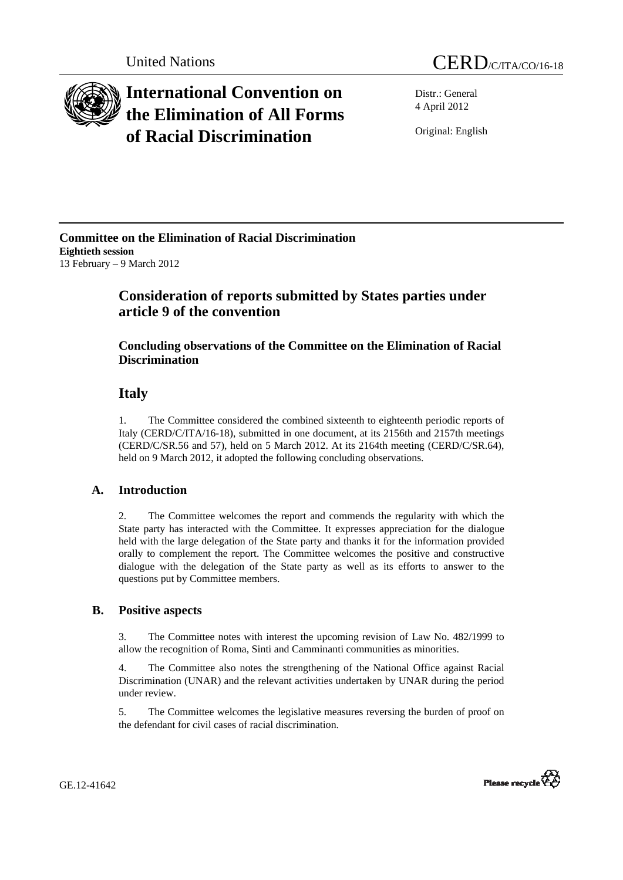

# **International Convention on the Elimination of All Forms of Racial Discrimination**

Distr.: General 4 April 2012

Original: English

**Committee on the Elimination of Racial Discrimination Eightieth session**  13 February – 9 March 2012

## **Consideration of reports submitted by States parties under article 9 of the convention**

## **Concluding observations of the Committee on the Elimination of Racial Discrimination**

## **Italy**

1. The Committee considered the combined sixteenth to eighteenth periodic reports of Italy (CERD/C/ITA/16-18), submitted in one document, at its 2156th and 2157th meetings (CERD/C/SR.56 and 57), held on 5 March 2012. At its 2164th meeting (CERD/C/SR.64), held on 9 March 2012, it adopted the following concluding observations.

## **A. Introduction**

2. The Committee welcomes the report and commends the regularity with which the State party has interacted with the Committee. It expresses appreciation for the dialogue held with the large delegation of the State party and thanks it for the information provided orally to complement the report. The Committee welcomes the positive and constructive dialogue with the delegation of the State party as well as its efforts to answer to the questions put by Committee members.

## **B. Positive aspects**

3. The Committee notes with interest the upcoming revision of Law No. 482/1999 to allow the recognition of Roma, Sinti and Camminanti communities as minorities.

4. The Committee also notes the strengthening of the National Office against Racial Discrimination (UNAR) and the relevant activities undertaken by UNAR during the period under review.

5. The Committee welcomes the legislative measures reversing the burden of proof on the defendant for civil cases of racial discrimination.



GE.12-41642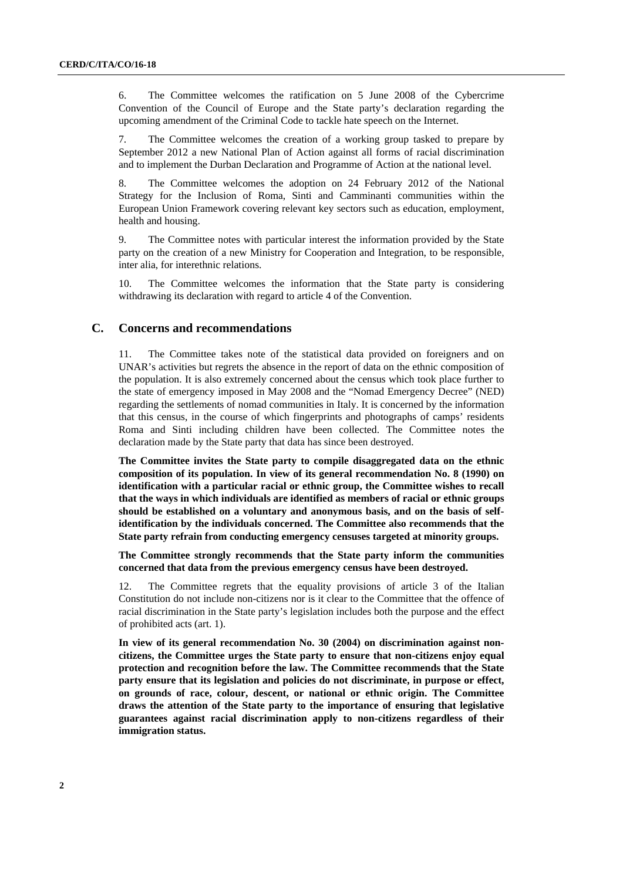6. The Committee welcomes the ratification on 5 June 2008 of the Cybercrime Convention of the Council of Europe and the State party's declaration regarding the upcoming amendment of the Criminal Code to tackle hate speech on the Internet.

7. The Committee welcomes the creation of a working group tasked to prepare by September 2012 a new National Plan of Action against all forms of racial discrimination and to implement the Durban Declaration and Programme of Action at the national level.

8. The Committee welcomes the adoption on 24 February 2012 of the National Strategy for the Inclusion of Roma, Sinti and Camminanti communities within the European Union Framework covering relevant key sectors such as education, employment, health and housing.

9. The Committee notes with particular interest the information provided by the State party on the creation of a new Ministry for Cooperation and Integration, to be responsible, inter alia, for interethnic relations.

10. The Committee welcomes the information that the State party is considering withdrawing its declaration with regard to article 4 of the Convention.

### **C. Concerns and recommendations**

11. The Committee takes note of the statistical data provided on foreigners and on UNAR's activities but regrets the absence in the report of data on the ethnic composition of the population. It is also extremely concerned about the census which took place further to the state of emergency imposed in May 2008 and the "Nomad Emergency Decree" (NED) regarding the settlements of nomad communities in Italy. It is concerned by the information that this census, in the course of which fingerprints and photographs of camps' residents Roma and Sinti including children have been collected. The Committee notes the declaration made by the State party that data has since been destroyed.

**The Committee invites the State party to compile disaggregated data on the ethnic composition of its population. In view of its general recommendation No. 8 (1990) on identification with a particular racial or ethnic group, the Committee wishes to recall that the ways in which individuals are identified as members of racial or ethnic groups should be established on a voluntary and anonymous basis, and on the basis of selfidentification by the individuals concerned. The Committee also recommends that the State party refrain from conducting emergency censuses targeted at minority groups.** 

**The Committee strongly recommends that the State party inform the communities concerned that data from the previous emergency census have been destroyed.** 

12. The Committee regrets that the equality provisions of article 3 of the Italian Constitution do not include non-citizens nor is it clear to the Committee that the offence of racial discrimination in the State party's legislation includes both the purpose and the effect of prohibited acts (art. 1).

**In view of its general recommendation No. 30 (2004) on discrimination against noncitizens, the Committee urges the State party to ensure that non-citizens enjoy equal protection and recognition before the law. The Committee recommends that the State party ensure that its legislation and policies do not discriminate, in purpose or effect, on grounds of race, colour, descent, or national or ethnic origin. The Committee draws the attention of the State party to the importance of ensuring that legislative guarantees against racial discrimination apply to non-citizens regardless of their immigration status.**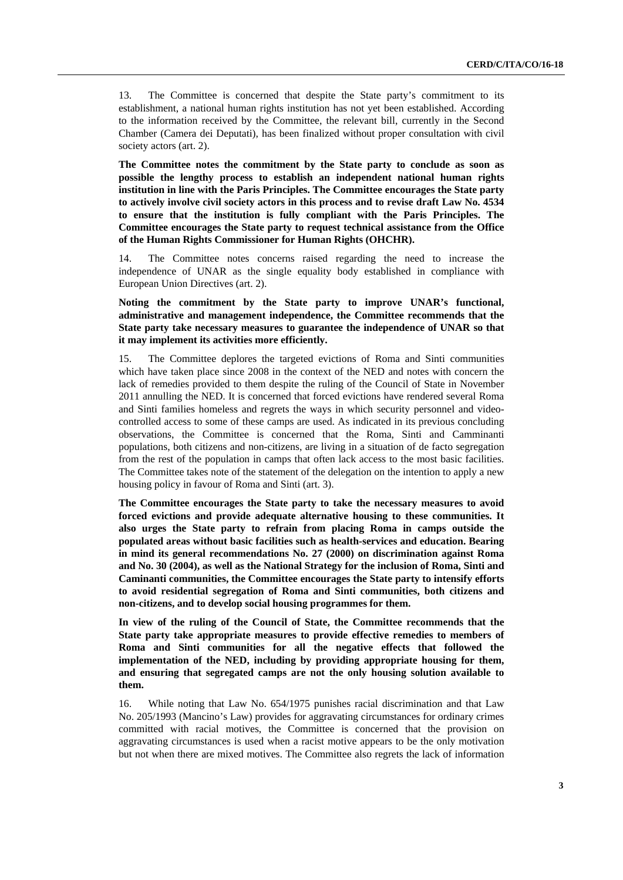13. The Committee is concerned that despite the State party's commitment to its establishment, a national human rights institution has not yet been established. According to the information received by the Committee, the relevant bill, currently in the Second Chamber (Camera dei Deputati), has been finalized without proper consultation with civil society actors (art. 2).

**The Committee notes the commitment by the State party to conclude as soon as possible the lengthy process to establish an independent national human rights institution in line with the Paris Principles. The Committee encourages the State party to actively involve civil society actors in this process and to revise draft Law No. 4534 to ensure that the institution is fully compliant with the Paris Principles. The Committee encourages the State party to request technical assistance from the Office of the Human Rights Commissioner for Human Rights (OHCHR).** 

14. The Committee notes concerns raised regarding the need to increase the independence of UNAR as the single equality body established in compliance with European Union Directives (art. 2).

**Noting the commitment by the State party to improve UNAR's functional, administrative and management independence, the Committee recommends that the State party take necessary measures to guarantee the independence of UNAR so that it may implement its activities more efficiently.** 

15. The Committee deplores the targeted evictions of Roma and Sinti communities which have taken place since 2008 in the context of the NED and notes with concern the lack of remedies provided to them despite the ruling of the Council of State in November 2011 annulling the NED. It is concerned that forced evictions have rendered several Roma and Sinti families homeless and regrets the ways in which security personnel and videocontrolled access to some of these camps are used. As indicated in its previous concluding observations, the Committee is concerned that the Roma, Sinti and Camminanti populations, both citizens and non-citizens, are living in a situation of de facto segregation from the rest of the population in camps that often lack access to the most basic facilities. The Committee takes note of the statement of the delegation on the intention to apply a new housing policy in favour of Roma and Sinti (art. 3).

**The Committee encourages the State party to take the necessary measures to avoid forced evictions and provide adequate alternative housing to these communities. It also urges the State party to refrain from placing Roma in camps outside the populated areas without basic facilities such as health-services and education. Bearing in mind its general recommendations No. 27 (2000) on discrimination against Roma and No. 30 (2004), as well as the National Strategy for the inclusion of Roma, Sinti and Caminanti communities, the Committee encourages the State party to intensify efforts to avoid residential segregation of Roma and Sinti communities, both citizens and non-citizens, and to develop social housing programmes for them.** 

**In view of the ruling of the Council of State, the Committee recommends that the State party take appropriate measures to provide effective remedies to members of Roma and Sinti communities for all the negative effects that followed the implementation of the NED, including by providing appropriate housing for them, and ensuring that segregated camps are not the only housing solution available to them.** 

16. While noting that Law No. 654/1975 punishes racial discrimination and that Law No. 205/1993 (Mancino's Law) provides for aggravating circumstances for ordinary crimes committed with racial motives, the Committee is concerned that the provision on aggravating circumstances is used when a racist motive appears to be the only motivation but not when there are mixed motives. The Committee also regrets the lack of information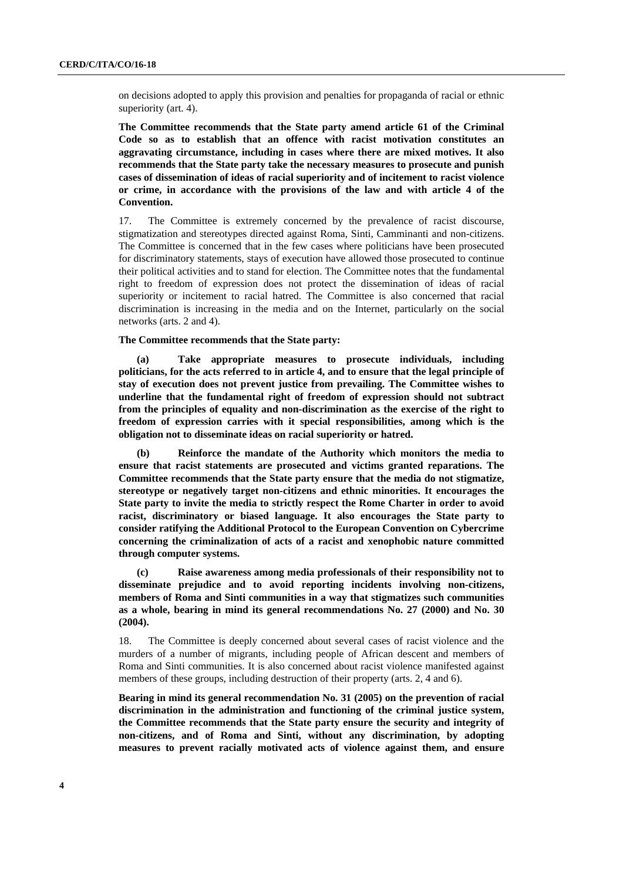on decisions adopted to apply this provision and penalties for propaganda of racial or ethnic superiority (art. 4).

**The Committee recommends that the State party amend article 61 of the Criminal Code so as to establish that an offence with racist motivation constitutes an aggravating circumstance, including in cases where there are mixed motives. It also recommends that the State party take the necessary measures to prosecute and punish cases of dissemination of ideas of racial superiority and of incitement to racist violence or crime, in accordance with the provisions of the law and with article 4 of the Convention.** 

17. The Committee is extremely concerned by the prevalence of racist discourse, stigmatization and stereotypes directed against Roma, Sinti, Camminanti and non-citizens. The Committee is concerned that in the few cases where politicians have been prosecuted for discriminatory statements, stays of execution have allowed those prosecuted to continue their political activities and to stand for election. The Committee notes that the fundamental right to freedom of expression does not protect the dissemination of ideas of racial superiority or incitement to racial hatred. The Committee is also concerned that racial discrimination is increasing in the media and on the Internet, particularly on the social networks (arts. 2 and 4).

#### **The Committee recommends that the State party:**

**(a) Take appropriate measures to prosecute individuals, including politicians, for the acts referred to in article 4, and to ensure that the legal principle of stay of execution does not prevent justice from prevailing. The Committee wishes to underline that the fundamental right of freedom of expression should not subtract from the principles of equality and non-discrimination as the exercise of the right to freedom of expression carries with it special responsibilities, among which is the obligation not to disseminate ideas on racial superiority or hatred.** 

**(b) Reinforce the mandate of the Authority which monitors the media to ensure that racist statements are prosecuted and victims granted reparations. The Committee recommends that the State party ensure that the media do not stigmatize, stereotype or negatively target non-citizens and ethnic minorities. It encourages the State party to invite the media to strictly respect the Rome Charter in order to avoid racist, discriminatory or biased language. It also encourages the State party to consider ratifying the Additional Protocol to the European Convention on Cybercrime concerning the criminalization of acts of a racist and xenophobic nature committed through computer systems.** 

**(c) Raise awareness among media professionals of their responsibility not to disseminate prejudice and to avoid reporting incidents involving non-citizens, members of Roma and Sinti communities in a way that stigmatizes such communities as a whole, bearing in mind its general recommendations No. 27 (2000) and No. 30 (2004).** 

18. The Committee is deeply concerned about several cases of racist violence and the murders of a number of migrants, including people of African descent and members of Roma and Sinti communities. It is also concerned about racist violence manifested against members of these groups, including destruction of their property (arts. 2, 4 and 6).

**Bearing in mind its general recommendation No. 31 (2005) on the prevention of racial discrimination in the administration and functioning of the criminal justice system, the Committee recommends that the State party ensure the security and integrity of non-citizens, and of Roma and Sinti, without any discrimination, by adopting measures to prevent racially motivated acts of violence against them, and ensure**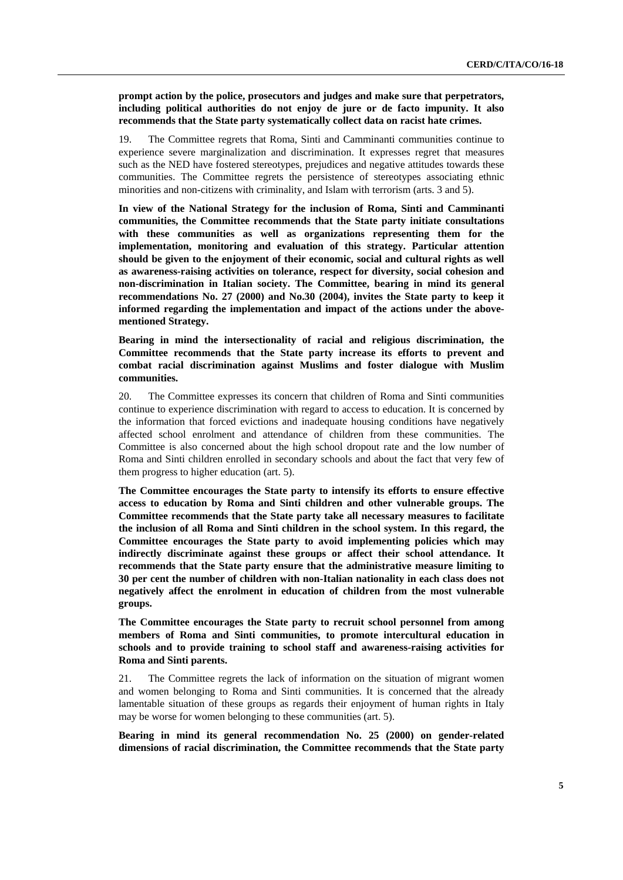#### **prompt action by the police, prosecutors and judges and make sure that perpetrators, including political authorities do not enjoy de jure or de facto impunity. It also recommends that the State party systematically collect data on racist hate crimes.**

19. The Committee regrets that Roma, Sinti and Camminanti communities continue to experience severe marginalization and discrimination. It expresses regret that measures such as the NED have fostered stereotypes, prejudices and negative attitudes towards these communities. The Committee regrets the persistence of stereotypes associating ethnic minorities and non-citizens with criminality, and Islam with terrorism (arts. 3 and 5).

**In view of the National Strategy for the inclusion of Roma, Sinti and Camminanti communities, the Committee recommends that the State party initiate consultations with these communities as well as organizations representing them for the implementation, monitoring and evaluation of this strategy. Particular attention should be given to the enjoyment of their economic, social and cultural rights as well as awareness-raising activities on tolerance, respect for diversity, social cohesion and non-discrimination in Italian society. The Committee, bearing in mind its general recommendations No. 27 (2000) and No.30 (2004), invites the State party to keep it informed regarding the implementation and impact of the actions under the abovementioned Strategy.** 

**Bearing in mind the intersectionality of racial and religious discrimination, the Committee recommends that the State party increase its efforts to prevent and combat racial discrimination against Muslims and foster dialogue with Muslim communities.** 

20. The Committee expresses its concern that children of Roma and Sinti communities continue to experience discrimination with regard to access to education. It is concerned by the information that forced evictions and inadequate housing conditions have negatively affected school enrolment and attendance of children from these communities. The Committee is also concerned about the high school dropout rate and the low number of Roma and Sinti children enrolled in secondary schools and about the fact that very few of them progress to higher education (art. 5).

**The Committee encourages the State party to intensify its efforts to ensure effective access to education by Roma and Sinti children and other vulnerable groups. The Committee recommends that the State party take all necessary measures to facilitate the inclusion of all Roma and Sinti children in the school system. In this regard, the Committee encourages the State party to avoid implementing policies which may indirectly discriminate against these groups or affect their school attendance. It recommends that the State party ensure that the administrative measure limiting to 30 per cent the number of children with non-Italian nationality in each class does not negatively affect the enrolment in education of children from the most vulnerable groups.** 

**The Committee encourages the State party to recruit school personnel from among members of Roma and Sinti communities, to promote intercultural education in schools and to provide training to school staff and awareness-raising activities for Roma and Sinti parents.** 

21. The Committee regrets the lack of information on the situation of migrant women and women belonging to Roma and Sinti communities. It is concerned that the already lamentable situation of these groups as regards their enjoyment of human rights in Italy may be worse for women belonging to these communities (art. 5).

**Bearing in mind its general recommendation No. 25 (2000) on gender-related dimensions of racial discrimination, the Committee recommends that the State party**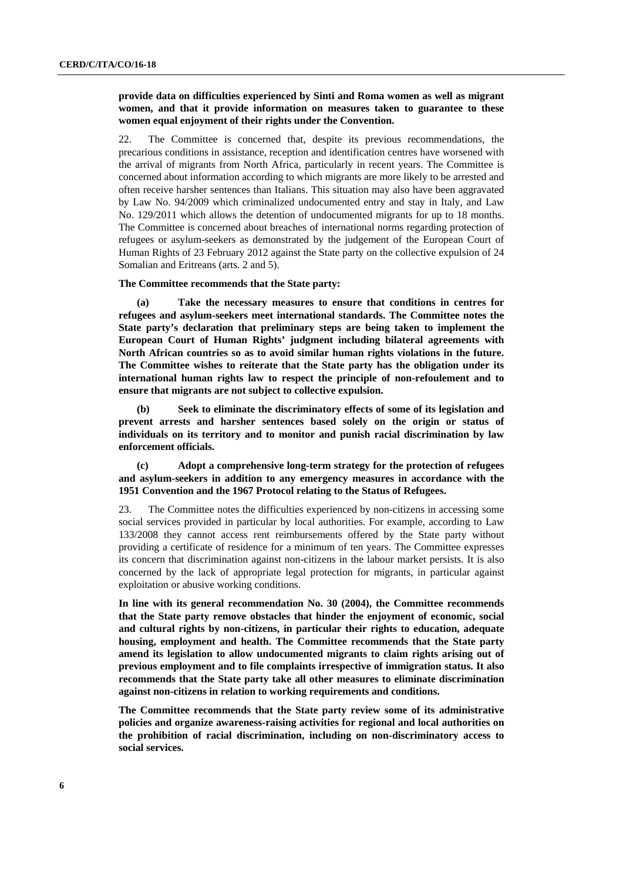#### **provide data on difficulties experienced by Sinti and Roma women as well as migrant women, and that it provide information on measures taken to guarantee to these women equal enjoyment of their rights under the Convention.**

22. The Committee is concerned that, despite its previous recommendations, the precarious conditions in assistance, reception and identification centres have worsened with the arrival of migrants from North Africa, particularly in recent years. The Committee is concerned about information according to which migrants are more likely to be arrested and often receive harsher sentences than Italians. This situation may also have been aggravated by Law No. 94/2009 which criminalized undocumented entry and stay in Italy, and Law No. 129/2011 which allows the detention of undocumented migrants for up to 18 months. The Committee is concerned about breaches of international norms regarding protection of refugees or asylum-seekers as demonstrated by the judgement of the European Court of Human Rights of 23 February 2012 against the State party on the collective expulsion of 24 Somalian and Eritreans (arts. 2 and 5).

#### **The Committee recommends that the State party:**

**(a) Take the necessary measures to ensure that conditions in centres for refugees and asylum-seekers meet international standards. The Committee notes the State party's declaration that preliminary steps are being taken to implement the European Court of Human Rights' judgment including bilateral agreements with North African countries so as to avoid similar human rights violations in the future. The Committee wishes to reiterate that the State party has the obligation under its international human rights law to respect the principle of non-refoulement and to ensure that migrants are not subject to collective expulsion.** 

**(b) Seek to eliminate the discriminatory effects of some of its legislation and prevent arrests and harsher sentences based solely on the origin or status of individuals on its territory and to monitor and punish racial discrimination by law enforcement officials.** 

**(c) Adopt a comprehensive long-term strategy for the protection of refugees and asylum-seekers in addition to any emergency measures in accordance with the 1951 Convention and the 1967 Protocol relating to the Status of Refugees.** 

23. The Committee notes the difficulties experienced by non-citizens in accessing some social services provided in particular by local authorities. For example, according to Law 133/2008 they cannot access rent reimbursements offered by the State party without providing a certificate of residence for a minimum of ten years. The Committee expresses its concern that discrimination against non-citizens in the labour market persists. It is also concerned by the lack of appropriate legal protection for migrants, in particular against exploitation or abusive working conditions.

**In line with its general recommendation No. 30 (2004), the Committee recommends that the State party remove obstacles that hinder the enjoyment of economic, social and cultural rights by non-citizens, in particular their rights to education, adequate housing, employment and health. The Committee recommends that the State party amend its legislation to allow undocumented migrants to claim rights arising out of previous employment and to file complaints irrespective of immigration status. It also recommends that the State party take all other measures to eliminate discrimination against non-citizens in relation to working requirements and conditions.** 

**The Committee recommends that the State party review some of its administrative policies and organize awareness-raising activities for regional and local authorities on the prohibition of racial discrimination, including on non-discriminatory access to social services.**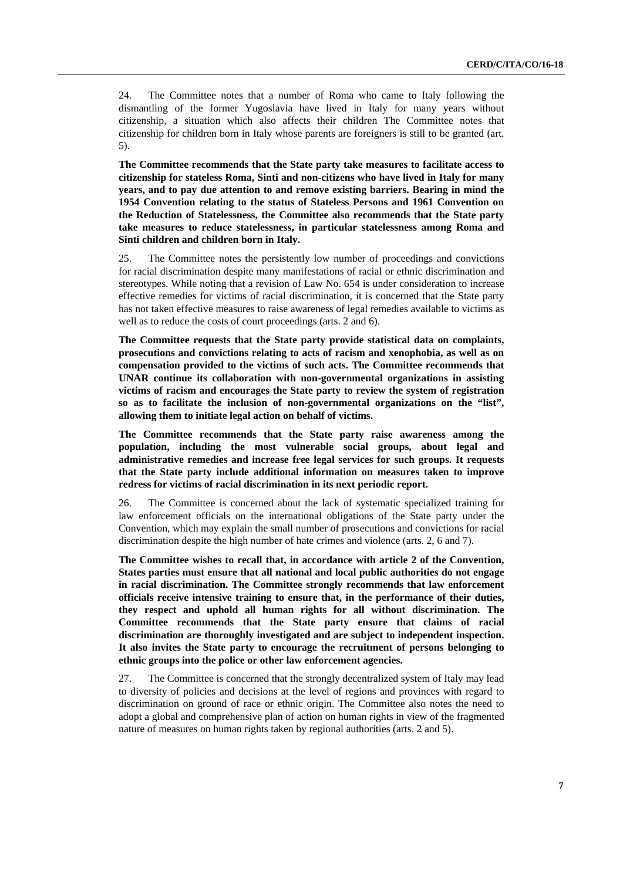24. The Committee notes that a number of Roma who came to Italy following the dismantling of the former Yugoslavia have lived in Italy for many years without citizenship, a situation which also affects their children The Committee notes that citizenship for children born in Italy whose parents are foreigners is still to be granted (art. 5).

**The Committee recommends that the State party take measures to facilitate access to citizenship for stateless Roma, Sinti and non-citizens who have lived in Italy for many years, and to pay due attention to and remove existing barriers. Bearing in mind the 1954 Convention relating to the status of Stateless Persons and 1961 Convention on the Reduction of Statelessness, the Committee also recommends that the State party take measures to reduce statelessness, in particular statelessness among Roma and Sinti children and children born in Italy.** 

25. The Committee notes the persistently low number of proceedings and convictions for racial discrimination despite many manifestations of racial or ethnic discrimination and stereotypes. While noting that a revision of Law No. 654 is under consideration to increase effective remedies for victims of racial discrimination, it is concerned that the State party has not taken effective measures to raise awareness of legal remedies available to victims as well as to reduce the costs of court proceedings (arts. 2 and 6).

**The Committee requests that the State party provide statistical data on complaints, prosecutions and convictions relating to acts of racism and xenophobia, as well as on compensation provided to the victims of such acts. The Committee recommends that UNAR continue its collaboration with non-governmental organizations in assisting victims of racism and encourages the State party to review the system of registration so as to facilitate the inclusion of non-governmental organizations on the "list", allowing them to initiate legal action on behalf of victims.** 

**The Committee recommends that the State party raise awareness among the population, including the most vulnerable social groups, about legal and administrative remedies and increase free legal services for such groups. It requests that the State party include additional information on measures taken to improve redress for victims of racial discrimination in its next periodic report.** 

26. The Committee is concerned about the lack of systematic specialized training for law enforcement officials on the international obligations of the State party under the Convention, which may explain the small number of prosecutions and convictions for racial discrimination despite the high number of hate crimes and violence (arts. 2, 6 and 7).

**The Committee wishes to recall that, in accordance with article 2 of the Convention, States parties must ensure that all national and local public authorities do not engage in racial discrimination. The Committee strongly recommends that law enforcement officials receive intensive training to ensure that, in the performance of their duties, they respect and uphold all human rights for all without discrimination. The Committee recommends that the State party ensure that claims of racial discrimination are thoroughly investigated and are subject to independent inspection. It also invites the State party to encourage the recruitment of persons belonging to ethnic groups into the police or other law enforcement agencies.** 

27. The Committee is concerned that the strongly decentralized system of Italy may lead to diversity of policies and decisions at the level of regions and provinces with regard to discrimination on ground of race or ethnic origin. The Committee also notes the need to adopt a global and comprehensive plan of action on human rights in view of the fragmented nature of measures on human rights taken by regional authorities (arts. 2 and 5).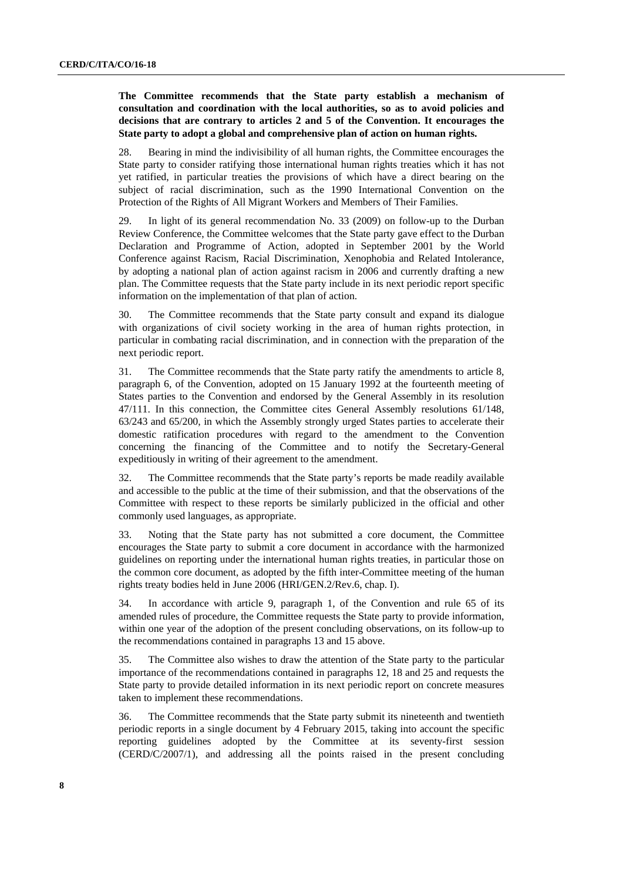**The Committee recommends that the State party establish a mechanism of consultation and coordination with the local authorities, so as to avoid policies and decisions that are contrary to articles 2 and 5 of the Convention. It encourages the State party to adopt a global and comprehensive plan of action on human rights.** 

28. Bearing in mind the indivisibility of all human rights, the Committee encourages the State party to consider ratifying those international human rights treaties which it has not yet ratified, in particular treaties the provisions of which have a direct bearing on the subject of racial discrimination, such as the 1990 International Convention on the Protection of the Rights of All Migrant Workers and Members of Their Families.

29. In light of its general recommendation No. 33 (2009) on follow-up to the Durban Review Conference, the Committee welcomes that the State party gave effect to the Durban Declaration and Programme of Action, adopted in September 2001 by the World Conference against Racism, Racial Discrimination, Xenophobia and Related Intolerance, by adopting a national plan of action against racism in 2006 and currently drafting a new plan. The Committee requests that the State party include in its next periodic report specific information on the implementation of that plan of action.

30. The Committee recommends that the State party consult and expand its dialogue with organizations of civil society working in the area of human rights protection, in particular in combating racial discrimination, and in connection with the preparation of the next periodic report.

31. The Committee recommends that the State party ratify the amendments to article 8, paragraph 6, of the Convention, adopted on 15 January 1992 at the fourteenth meeting of States parties to the Convention and endorsed by the General Assembly in its resolution 47/111. In this connection, the Committee cites General Assembly resolutions 61/148, 63/243 and 65/200, in which the Assembly strongly urged States parties to accelerate their domestic ratification procedures with regard to the amendment to the Convention concerning the financing of the Committee and to notify the Secretary-General expeditiously in writing of their agreement to the amendment.

32. The Committee recommends that the State party's reports be made readily available and accessible to the public at the time of their submission, and that the observations of the Committee with respect to these reports be similarly publicized in the official and other commonly used languages, as appropriate.

33. Noting that the State party has not submitted a core document, the Committee encourages the State party to submit a core document in accordance with the harmonized guidelines on reporting under the international human rights treaties, in particular those on the common core document, as adopted by the fifth inter-Committee meeting of the human rights treaty bodies held in June 2006 (HRI/GEN.2/Rev.6, chap. I).

34. In accordance with article 9, paragraph 1, of the Convention and rule 65 of its amended rules of procedure, the Committee requests the State party to provide information, within one year of the adoption of the present concluding observations, on its follow-up to the recommendations contained in paragraphs 13 and 15 above.

35. The Committee also wishes to draw the attention of the State party to the particular importance of the recommendations contained in paragraphs 12, 18 and 25 and requests the State party to provide detailed information in its next periodic report on concrete measures taken to implement these recommendations.

36. The Committee recommends that the State party submit its nineteenth and twentieth periodic reports in a single document by 4 February 2015, taking into account the specific reporting guidelines adopted by the Committee at its seventy-first session (CERD/C/2007/1), and addressing all the points raised in the present concluding